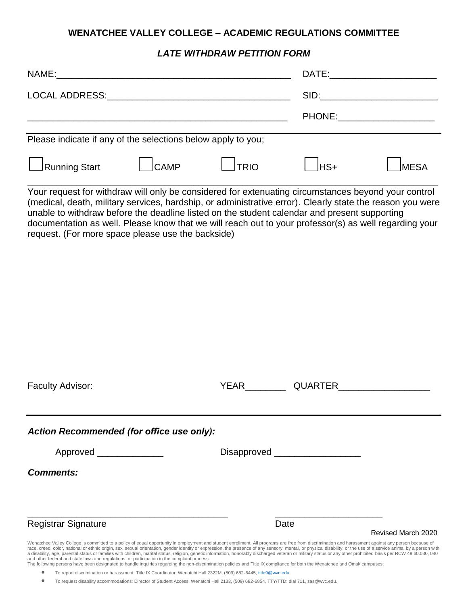## **WENATCHEE VALLEY COLLEGE – ACADEMIC REGULATIONS COMMITTEE**

## *LATE WITHDRAW PETITION FORM*

| NAME:                                                                                                                                                                                                                                                                                                                                                                                                                     |             |              | DATE: |                                                                                                                                                                                                                                |
|---------------------------------------------------------------------------------------------------------------------------------------------------------------------------------------------------------------------------------------------------------------------------------------------------------------------------------------------------------------------------------------------------------------------------|-------------|--------------|-------|--------------------------------------------------------------------------------------------------------------------------------------------------------------------------------------------------------------------------------|
| LOCAL ADDRESS: University of the contract of the contract of the contract of the contract of the contract of the contract of the contract of the contract of the contract of the contract of the contract of the contract of t                                                                                                                                                                                            |             |              |       | SID: A contract the contract of the contract of the contract of the contract of the contract of the contract of the contract of the contract of the contract of the contract of the contract of the contract of the contract o |
|                                                                                                                                                                                                                                                                                                                                                                                                                           |             |              |       | PHONE: PHONE                                                                                                                                                                                                                   |
| Please indicate if any of the selections below apply to you;                                                                                                                                                                                                                                                                                                                                                              |             |              |       |                                                                                                                                                                                                                                |
| Running Start                                                                                                                                                                                                                                                                                                                                                                                                             | <b>CAMP</b> | <b>JTRIO</b> | lHS+  | <b>MESA</b>                                                                                                                                                                                                                    |
| Your request for withdraw will only be considered for extenuating circumstances beyond your control<br>(medical, death, military services, hardship, or administrative error). Clearly state the reason you were<br>unable to withdraw before the deadline listed on the student calendar and present supporting<br>documentation as well. Please know that we will reach out to your professor(s) as well regarding your |             |              |       |                                                                                                                                                                                                                                |

| <b>Faculty Advisor:</b>                                                                      | YEAR<br>QUARTER                                                                                                                                                                                                                                                                                                                                                                                                                                                                                                                                                                                                                                                                                                                                                                                                               |
|----------------------------------------------------------------------------------------------|-------------------------------------------------------------------------------------------------------------------------------------------------------------------------------------------------------------------------------------------------------------------------------------------------------------------------------------------------------------------------------------------------------------------------------------------------------------------------------------------------------------------------------------------------------------------------------------------------------------------------------------------------------------------------------------------------------------------------------------------------------------------------------------------------------------------------------|
| Action Recommended (for office use only):                                                    |                                                                                                                                                                                                                                                                                                                                                                                                                                                                                                                                                                                                                                                                                                                                                                                                                               |
| Approved                                                                                     |                                                                                                                                                                                                                                                                                                                                                                                                                                                                                                                                                                                                                                                                                                                                                                                                                               |
| <b>Comments:</b>                                                                             |                                                                                                                                                                                                                                                                                                                                                                                                                                                                                                                                                                                                                                                                                                                                                                                                                               |
| <b>Registrar Signature</b>                                                                   | Date                                                                                                                                                                                                                                                                                                                                                                                                                                                                                                                                                                                                                                                                                                                                                                                                                          |
|                                                                                              | Revised March 2020                                                                                                                                                                                                                                                                                                                                                                                                                                                                                                                                                                                                                                                                                                                                                                                                            |
| and other federal and state laws and regulations, or participation in the complaint process. | Wenatchee Valley College is committed to a policy of equal opportunity in employment and student enrollment. All programs are free from discrimination and harassment against any person because of<br>race, creed, color, national or ethnic origin, sex, sexual orientation, gender identity or expression, the presence of any sensory, mental, or physical disability, or the use of a service animal by a person with<br>a disability, age, parental status or families with children, marital status, religion, genetic information, honorably discharged veteran or military status or any other prohibited basis per RCW 49.60.030, 040<br>The following persons have been designated to handle inquiries regarding the non-discrimination policies and Title IX compliance for both the Wenatchee and Omak campuses: |

<sup>●</sup> To report discrimination or harassment: Title IX Coordinator, Wenatchi Hall 2322M, (509) 682-6445[, title9@wvc.edu.](mailto:title9@wvc.edu)

request. (For more space please use the backside)

• To request disability accommodations: Director of Student Access, Wenatchi Hall 2133, (509) 682-6854, TTY/TTD: dial 711, sas@wvc.edu.